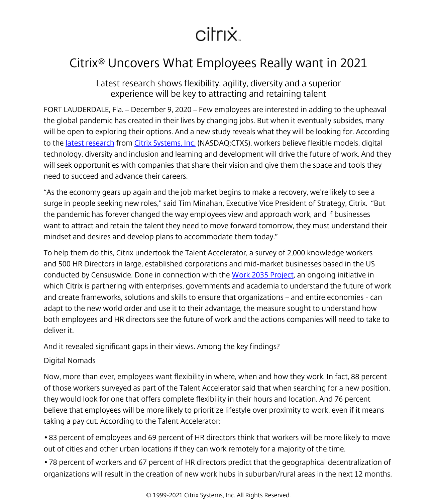# citrix.

# <span id="page-0-0"></span>Citrix® Uncovers What Employees Really want in 2021

Latest research shows flexibility, agility, diversity and a superior experience will be key to attracting and retaining talent

FORT LAUDERDALE, Fla. – December 9, 2020 – Few employees are interested in adding to the upheaval the global pandemic has created in their lives by changing jobs. But when it eventually subsides, many will be open to exploring their options. And a new study reveals what they will be looking for. According to the latest research from [Citrix Systems, Inc.](/content/citrix/en-au/
            .html) (NASDAQ:CTXS), workers believe flexible models, digital technology, diversity and inclusion and learning and development will drive the future of work. And they will seek opportunities with companies that share their vision and give them the space and tools they need to succeed and advance their careers.

"As the economy gears up again and the job market begins to make a recovery, we're likely to see a surge in people seeking new roles," said Tim Minahan, Executive Vice President of Strategy, Citrix. "But the pandemic has forever changed the way employees view and approach work, and if businesses want to attract and retain the talent they need to move forward tomorrow, they must understand their mindset and desires and develop plans to accommodate them today."

To help them do this, Citrix undertook the Talent Accelerator, a survey of 2,000 knowledge workers and 500 HR Directors in large, established corporations and mid-market businesses based in the US conducted by Censuswide. Done in connection with the [Work 2035 Project](https://now.citrix.com/work2035), an ongoing initiative in which Citrix is partnering with enterprises, governments and academia to understand the future of work and create frameworks, solutions and skills to ensure that organizations – and entire economies - can adapt to the new world order and use it to their advantage, the measure sought to understand how both employees and HR directors see the future of work and the actions companies will need to take to deliver it.

And it revealed significant gaps in their views. Among the key findings?

## Digital Nomads

Now, more than ever, employees want flexibility in where, when and how they work. In fact, 88 percent of those workers surveyed as part of the Talent Accelerator said that when searching for a new position, they would look for one that offers complete flexibility in their hours and location. And 76 percent believe that employees will be more likely to prioritize lifestyle over proximity to work, even if it means taking a pay cut. According to the Talent Accelerator:

• 83 percent of employees and 69 percent of HR directors think that workers will be more likely to move out of cities and other urban locations if they can work remotely for a majority of the time.

• 78 percent of workers and 67 percent of HR directors predict that the geographical decentralization of organizations will result in the creation of new work hubs in suburban/rural areas in the next 12 months.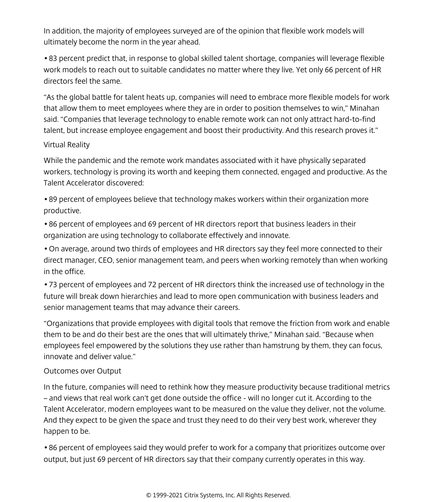In addition, the majority of employees surveyed are of the opinion that flexible work models will ultimately become the norm in the year ahead.

• 83 percent predict that, in response to global skilled talent shortage, companies will leverage flexible work models to reach out to suitable candidates no matter where they live. Yet only 66 percent of HR directors feel the same.

"As the global battle for talent heats up, companies will need to embrace more flexible models for work that allow them to meet employees where they are in order to position themselves to win," Minahan said. "Companies that leverage technology to enable remote work can not only attract hard-to-find talent, but increase employee engagement and boost their productivity. And this research proves it."

#### Virtual Reality

While the pandemic and the remote work mandates associated with it have physically separated workers, technology is proving its worth and keeping them connected, engaged and productive. As the Talent Accelerator discovered:

• 89 percent of employees believe that technology makes workers within their organization more productive.

• 86 percent of employees and 69 percent of HR directors report that business leaders in their organization are using technology to collaborate effectively and innovate.

• On average, around two thirds of employees and HR directors say they feel more connected to their direct manager, CEO, senior management team, and peers when working remotely than when working in the office.

• 73 percent of employees and 72 percent of HR directors think the increased use of technology in the future will break down hierarchies and lead to more open communication with business leaders and senior management teams that may advance their careers.

"Organizations that provide employees with digital tools that remove the friction from work and enable them to be and do their best are the ones that will ultimately thrive," Minahan said. "Because when employees feel empowered by the solutions they use rather than hamstrung by them, they can focus, innovate and deliver value."

#### Outcomes over Output

In the future, companies will need to rethink how they measure productivity because traditional metrics – and views that real work can't get done outside the office - will no longer cut it. According to the Talent Accelerator, modern employees want to be measured on the value they deliver, not the volume. And they expect to be given the space and trust they need to do their very best work, wherever they happen to be.

• 86 percent of employees said they would prefer to work for a company that prioritizes outcome over output, but just 69 percent of HR directors say that their company currently operates in this way.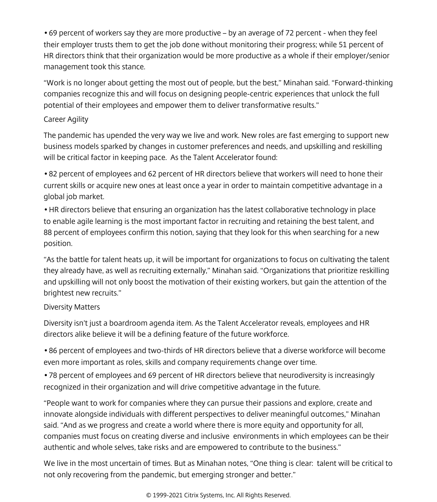• 69 percent of workers say they are more productive – by an average of 72 percent - when they feel their employer trusts them to get the job done without monitoring their progress; while 51 percent of HR directors think that their organization would be more productive as a whole if their employer/senior management took this stance.

"Work is no longer about getting the most out of people, but the best," Minahan said. "Forward-thinking companies recognize this and will focus on designing people-centric experiences that unlock the full potential of their employees and empower them to deliver transformative results."

#### Career Agility

The pandemic has upended the very way we live and work. New roles are fast emerging to support new business models sparked by changes in customer preferences and needs, and upskilling and reskilling will be critical factor in keeping pace. As the Talent Accelerator found:

• 82 percent of employees and 62 percent of HR directors believe that workers will need to hone their current skills or acquire new ones at least once a year in order to maintain competitive advantage in a global job market.

• HR directors believe that ensuring an organization has the latest collaborative technology in place to enable agile learning is the most important factor in recruiting and retaining the best talent, and 88 percent of employees confirm this notion, saying that they look for this when searching for a new position.

"As the battle for talent heats up, it will be important for organizations to focus on cultivating the talent they already have, as well as recruiting externally," Minahan said. "Organizations that prioritize reskilling and upskilling will not only boost the motivation of their existing workers, but gain the attention of the brightest new recruits."

## Diversity Matters

Diversity isn't just a boardroom agenda item. As the Talent Accelerator reveals, employees and HR directors alike believe it will be a defining feature of the future workforce.

• 86 percent of employees and two-thirds of HR directors believe that a diverse workforce will become even more important as roles, skills and company requirements change over time.

• 78 percent of employees and 69 percent of HR directors believe that neurodiversity is increasingly recognized in their organization and will drive competitive advantage in the future.

"People want to work for companies where they can pursue their passions and explore, create and innovate alongside individuals with different perspectives to deliver meaningful outcomes," Minahan said. "And as we progress and create a world where there is more equity and opportunity for all, companies must focus on creating diverse and inclusive environments in which employees can be their authentic and whole selves, take risks and are empowered to contribute to the business."

We live in the most uncertain of times. But as Minahan notes, "One thing is clear: talent will be critical to not only recovering from the pandemic, but emerging stronger and better."